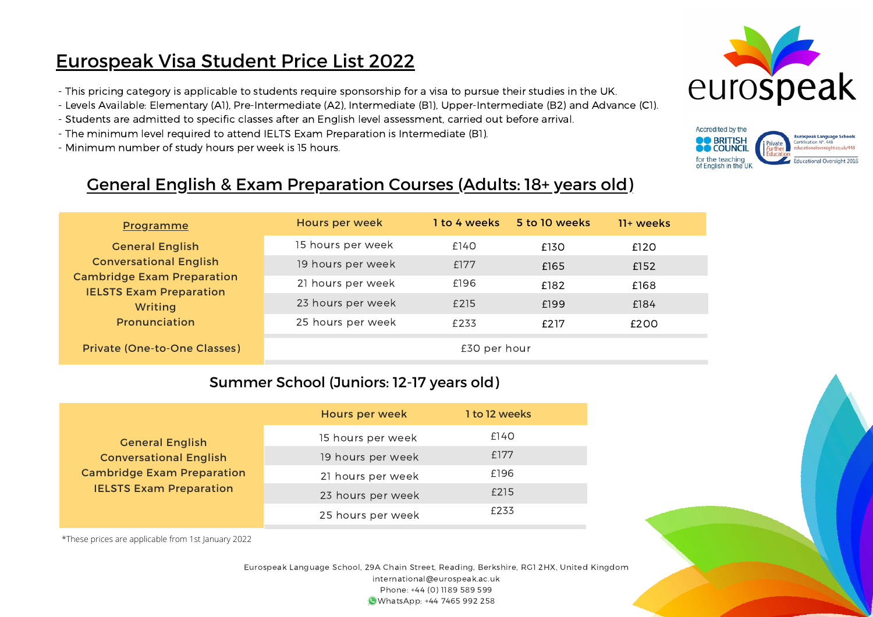# Eurospeak Visa Student Price List 2022

- This pricing category is applicable to students require sponsorship for a visa to pursue their studies in the UK.
- Levels Available: Elementary (A1), Pre-Intermediate (A2), Intermediate (B1), Upper-Intermediate (B2) and Advance (C1).
- Students are admitted to specific classes after an English level assessment, carried out before arrival.
- The minimum level required to attend IELTS Exam Preparation is Intermediate (B1).
- Minimum number of study hours per week is 15 hours.





## General English & Exam Preparation Courses (Adults: 18+ years old)

| <b>Programme</b>                                                                                                       | Hours per week    | 1 to 4 weeks | 5 to 10 weeks | $11+$ weeks |  |
|------------------------------------------------------------------------------------------------------------------------|-------------------|--------------|---------------|-------------|--|
| <b>General English</b>                                                                                                 | 15 hours per week | £140         | £130          | £120        |  |
| <b>Conversational English</b><br><b>Cambridge Exam Preparation</b><br><b>IELSTS Exam Preparation</b><br><b>Writing</b> | 19 hours per week | £177         | £165          | £152        |  |
|                                                                                                                        | 21 hours per week | £196         | £182          | £168        |  |
|                                                                                                                        | 23 hours per week | £215         | £199          | £184        |  |
| Pronunciation                                                                                                          | 25 hours per week | £233         | f217          | £200        |  |
| <b>Private (One-to-One Classes)</b>                                                                                    |                   | £30 per hour |               |             |  |

### Summer School (Juniors: 12-17 years old)

|                                                                                                      | <b>Hours per week</b> | 1 to 12 weeks |
|------------------------------------------------------------------------------------------------------|-----------------------|---------------|
| <b>General English</b>                                                                               | 15 hours per week     | £140          |
| <b>Conversational English</b><br><b>Cambridge Exam Preparation</b><br><b>IELSTS Exam Preparation</b> | 19 hours per week     | f177          |
|                                                                                                      | 21 hours per week     | £196          |
|                                                                                                      | 23 hours per week     | £215          |
|                                                                                                      | 25 hours per week     | £233          |

\*These prices are applicable from 1st January 2022

Eurospeak Language School, 29A Chain Street, Reading, Berkshire, RG1 2HX, United Kingdom international@eurospeak.ac.uk Phone: +44 (0) 1189 589 599 WhatsApp: +44 7465 992 258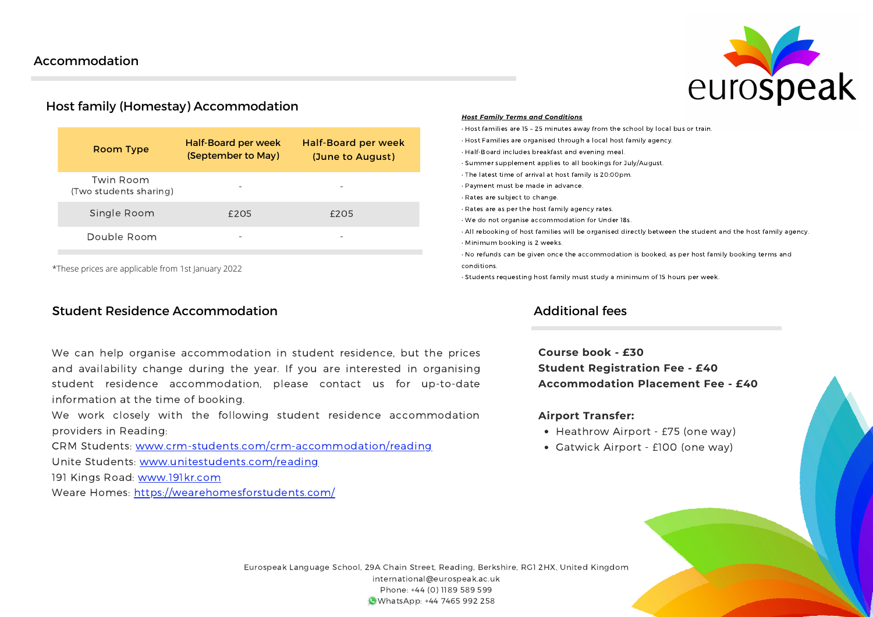

### Host family (Homestay) Accommodation

| <b>Room Type</b>                    | <b>Half-Board per week</b><br>(September to May) | <b>Half-Board per week</b><br>(June to August) |
|-------------------------------------|--------------------------------------------------|------------------------------------------------|
| Twin Room<br>(Two students sharing) | ۰                                                |                                                |
| Single Room                         | £205                                             | f205                                           |
| Double Room                         |                                                  |                                                |
|                                     |                                                  |                                                |

\*These prices are applicable from 1st January 2022

#### Student Residence Accommodation

We can help organise accommodation in student residence, but the prices and availability change during the year. If you are interested in organising student residence accommodation, please contact us for up-to-date information at the time of booking.

We work closely with the following student residence accommodation providers in Reading:

CRM Students: [www.crm-students.com/crm-accommodation/reading](http://www.crm-students.com/crm-accommodation/reading) Unite Students: [www.unitestudents.com/reading](http://www.unitestudents.com/reading)

191 Kings Road: [www.191kr.com](http://www.191kr.com/)

Weare Homes: <https://wearehomesforstudents.com/>

#### *Host Family Terms and Conditions*

• Host families are 15 – 25 minutes away from the school by local bus or train.

- Host Families are organised through a local host family agency.
- Half-Board includes breakfast and evening meal.
- Summer supplement applies to all bookings for July/August.
- The latest time of arrival at host family is 20:00pm.
- Payment must be made in advance.
- Rates are subject to change.
- Rates are as per the host family agency rates.
- We do not organise accommodation for Under 18s.
- All rebooking of host families will be organised directly between the student and the host family agency.
- Minimum booking is 2 weeks.

• No refunds can be given once the accommodation is booked, as per host family booking terms and conditions.

• Students requesting host family must study a minimum of 15 hours per week.

#### Additional fees

**Course book - £30 Student Registration Fee - £40 Accommodation Placement Fee - £40**

#### **Airport Transfer:**

- Heathrow Airport £75 (one way)
- Gatwick Airport £100 (one way)

Eurospeak Language School, 29A Chain Street, Reading, Berkshire, RG1 2HX, United Kingdom international@eurospeak.ac.uk Phone: +44 (0) 1189 589 599 WhatsApp: +44 7465 992 258